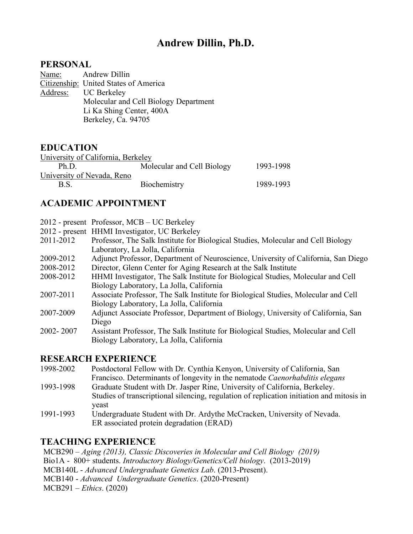# **Andrew Dillin, Ph.D.**

### **PERSONAL**

Name: Andrew Dillin

Citizenship: United States of America Address: UC Berkeley Molecular and Cell Biology Department Li Ka Shing Center, 400A Berkeley, Ca. 94705

### **EDUCATION**

| University of California, Berkeley |                            |           |
|------------------------------------|----------------------------|-----------|
| Ph <sub>D</sub>                    | Molecular and Cell Biology | 1993-1998 |
| University of Nevada, Reno         |                            |           |
| B S                                | Biochemistry               | 1989-1993 |

# **ACADEMIC APPOINTMENT**

- 2012 present Professor, MCB UC Berkeley
- 2012 present HHMI Investigator, UC Berkeley
- 2011-2012 Professor, The Salk Institute for Biological Studies, Molecular and Cell Biology Laboratory, La Jolla, California
- 2009-2012 Adjunct Professor, Department of Neuroscience, University of California, San Diego
- 2008-2012 Director, Glenn Center for Aging Research at the Salk Institute
- 2008-2012 HHMI Investigator, The Salk Institute for Biological Studies, Molecular and Cell Biology Laboratory, La Jolla, California
- 2007-2011 Associate Professor, The Salk Institute for Biological Studies, Molecular and Cell Biology Laboratory, La Jolla, California
- 2007-2009 Adjunct Associate Professor, Department of Biology, University of California, San Diego
- 2002- 2007 Assistant Professor, The Salk Institute for Biological Studies, Molecular and Cell Biology Laboratory, La Jolla, California

## **RESEARCH EXPERIENCE**

- 1998-2002 Postdoctoral Fellow with Dr. Cynthia Kenyon, University of California, San Francisco. Determinants of longevity in the nematode *Caenorhabditis elegans*
- 1993-1998 Graduate Student with Dr. Jasper Rine, University of California, Berkeley. Studies of transcriptional silencing, regulation of replication initiation and mitosis in yeast
- 1991-1993 Undergraduate Student with Dr. Ardythe McCracken, University of Nevada. ER associated protein degradation (ERAD)

# **TEACHING EXPERIENCE**

MCB290 – *Aging (2013), Classic Discoveries in Molecular and Cell Biology (2019)* Bio1A - 800+ students. *Introductory Biology/Genetics/Cell biology*. (2013-2019) MCB140L - *Advanced Undergraduate Genetics Lab*. (2013-Present). MCB140 - *Advanced Undergraduate Genetics*. (2020-Present) MCB291 – *Ethics*. (2020)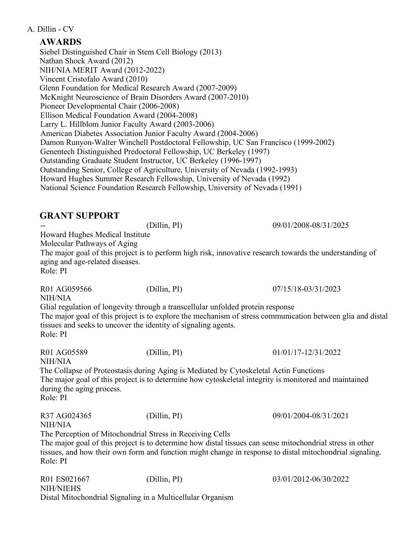## **AWARDS**

Siebel Distinguished Chair in Stem Cell Biology (2013) Nathan Shock Award (2012) NIH/NIA MERIT Award (2012-2022) Vincent Cristofalo Award (2010) Glenn Foundation for Medical Research Award (2007-2009) McKnight Neuroscience of Brain Disorders Award (2007-2010) Pioneer Developmental Chair (2006-2008) Ellison Medical Foundation Award (2004-2008) Larry L. Hillblom Junior Faculty Award (2003-2006) American Diabetes Association Junior Faculty Award (2004-2006) Damon Runyon-Walter Winchell Postdoctoral Fellowship, UC San Francisco (1999-2002) Genentech Distinguished Predoctoral Fellowship, UC Berkeley (1997) Outstanding Graduate Student Instructor, UC Berkeley (1996-1997) Outstanding Senior, College of Agriculture, University of Nevada (1992-1993) Howard Hughes Summer Research Fellowship, University of Nevada (1992) National Science Foundation Research Fellowship, University of Nevada (1991)

| <b>GRANT SUPPORT</b>                                                                                          |                                                                                                                                                   |                                                                                                                                                                                                                       |
|---------------------------------------------------------------------------------------------------------------|---------------------------------------------------------------------------------------------------------------------------------------------------|-----------------------------------------------------------------------------------------------------------------------------------------------------------------------------------------------------------------------|
|                                                                                                               | (Dillin, PI)                                                                                                                                      | 09/01/2008-08/31/2025                                                                                                                                                                                                 |
| Howard Hughes Medical Institute<br>Molecular Pathways of Aging<br>aging and age-related diseases.<br>Role: PI |                                                                                                                                                   | The major goal of this project is to perform high risk, innovative research towards the understanding of                                                                                                              |
| R01 AG059566<br><b>NIH/NIA</b>                                                                                | (Dillin, PI)                                                                                                                                      | 07/15/18-03/31/2023                                                                                                                                                                                                   |
| Role: PI                                                                                                      | Glial regulation of longevity through a transcellular unfolded protein response<br>tissues and seeks to uncover the identity of signaling agents. | The major goal of this project is to explore the mechanism of stress communication between glia and distal                                                                                                            |
| R01 AG05589<br><b>NIH/NIA</b>                                                                                 | (Dillin, PI)                                                                                                                                      | 01/01/17-12/31/2022                                                                                                                                                                                                   |
| during the aging process.<br>Role: PI                                                                         | The Collapse of Proteostasis during Aging is Mediated by Cytoskeletal Actin Functions                                                             | The major goal of this project is to determine how cytoskeletal integrity is monitored and maintained                                                                                                                 |
| R37 AG024365<br><b>NIH/NIA</b>                                                                                | (Dillin, PI)                                                                                                                                      | 09/01/2004-08/31/2021                                                                                                                                                                                                 |
| Role: PI                                                                                                      | The Perception of Mitochondrial Stress in Receiving Cells                                                                                         | The major goal of this project is to determine how distal tissues can sense mitochondrial stress in other<br>tissues, and how their own form and function might change in response to distal mitochondrial signaling. |
| R01 ES021667<br><b>NIH/NIEHS</b>                                                                              | (Dillin, PI)                                                                                                                                      | 03/01/2012-06/30/2022                                                                                                                                                                                                 |

Distal Mitochondrial Signaling in a Multicellular Organism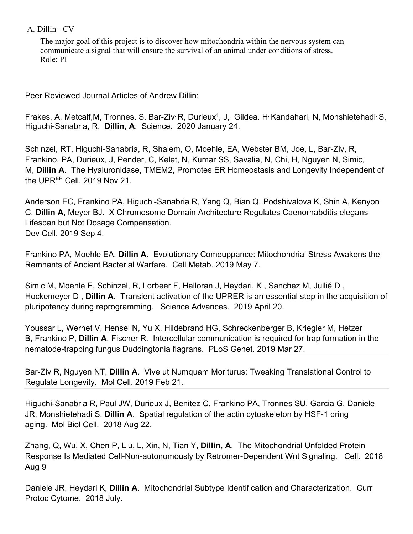The major goal of this project is to discover how mitochondria within the nervous system can communicate a signal that will ensure the survival of an animal under conditions of stress. Role: PI

Peer Reviewed Journal Articles of Andrew Dillin:

Frakes, A, Metcalf, M, Tronnes. S. Bar-Ziv R, Durieux<sup>1</sup>, J, Gildea. H Kandahari, N, Monshietehadi S, Higuchi-Sanabria, R, **Dillin, A**. Science. 2020 January 24.

Schinzel, RT, Higuchi-Sanabria, R, Shalem, O, Moehle, EA, Webster BM, Joe, L, Bar-Ziv, R, Frankino, PA, Durieux, J, Pender, C, Kelet, N, Kumar SS, Savalia, N, Chi, H, Nguyen N, Simic, M, **Dillin A**. The Hyaluronidase, TMEM2, Promotes ER Homeostasis and Longevity Independent of the UPRER Cell. 2019 Nov 21.

Anderson EC, Frankino PA, Higuchi-Sanabria R, Yang Q, Bian Q, Podshivalova K, Shin A, Kenyon C, **Dillin A**, Meyer BJ. X Chromosome Domain Architecture Regulates Caenorhabditis elegans Lifespan but Not Dosage Compensation. Dev Cell. 2019 Sep 4.

Frankino PA, Moehle EA, **Dillin A**. Evolutionary Comeuppance: Mitochondrial Stress Awakens the Remnants of Ancient Bacterial Warfare. Cell Metab. 2019 May 7.

Simic M, Moehle E, Schinzel, R, Lorbeer F, Halloran J, Heydari, K , Sanchez M, Jullié D , Hockemeyer D , **Dillin A**. Transient activation of the UPRER is an essential step in the acquisition of pluripotency during reprogramming. Science Advances. 2019 April 20.

Youssar L, Wernet V, Hensel N, Yu X, Hildebrand HG, Schreckenberger B, Kriegler M, Hetzer B, Frankino P, **Dillin A**, Fischer R. Intercellular communication is required for trap formation in the nematode-trapping fungus Duddingtonia flagrans. PLoS Genet. 2019 Mar 27.

Bar-Ziv R, Nguyen NT, **Dillin A**. Vive ut Numquam Moriturus: Tweaking Translational Control to Regulate Longevity. Mol Cell. 2019 Feb 21.

Higuchi-Sanabria R, Paul JW, Durieux J, Benitez C, Frankino PA, Tronnes SU, Garcia G, Daniele JR, Monshietehadi S, **Dillin A**. Spatial regulation of the actin cytoskeleton by HSF-1 dring aging. Mol Biol Cell. 2018 Aug 22.

Zhang, Q, Wu, X, Chen P, Liu, L, Xin, N, Tian Y, **Dillin, A**. The Mitochondrial Unfolded Protein Response Is Mediated Cell-Non-autonomously by Retromer-Dependent Wnt Signaling. Cell. 2018 Aug 9

Daniele JR, Heydari K, **Dillin A**. Mitochondrial Subtype Identification and Characterization. Curr Protoc Cytome. 2018 July.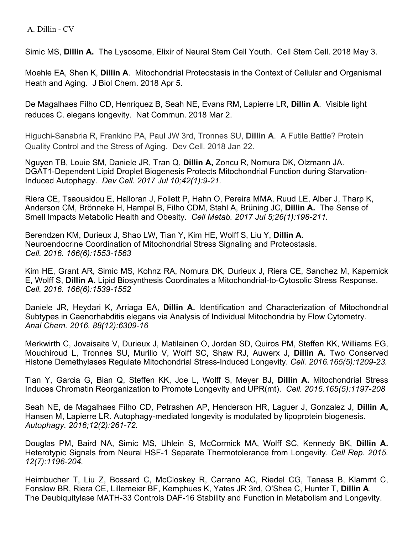Simic MS, **Dillin A.** The Lysosome, Elixir of Neural Stem Cell Youth. Cell Stem Cell. 2018 May 3.

Moehle EA, Shen K, **Dillin A**. Mitochondrial Proteostasis in the Context of Cellular and Organismal Heath and Aging. J Biol Chem. 2018 Apr 5.

De Magalhaes Filho CD, Henriquez B, Seah NE, Evans RM, Lapierre LR, **Dillin A**. Visible light reduces C. elegans longevity. Nat Commun. 2018 Mar 2.

Higuchi-Sanabria R, Frankino PA, Paul JW 3rd, Tronnes SU, **Dillin A**. A Futile Battle? Protein Quality Control and the Stress of Aging. Dev Cell. 2018 Jan 22.

Nguyen TB, Louie SM, Daniele JR, Tran Q, **Dillin A,** Zoncu R, Nomura DK, Olzmann JA. DGAT1-Dependent Lipid Droplet Biogenesis Protects Mitochondrial Function during Starvation-Induced Autophagy. *Dev Cell. 2017 Jul 10;42(1):9-21.*

Riera CE, Tsaousidou E, Halloran J, Follett P, Hahn O, Pereira MMA, Ruud LE, Alber J, Tharp K, Anderson CM, Brönneke H, Hampel B, Filho CDM, Stahl A, Brüning JC, **Dillin A.** The Sense of Smell Impacts Metabolic Health and Obesity. *Cell Metab. 2017 Jul 5;26(1):198-211.*

Berendzen KM, Durieux J, Shao LW, Tian Y, Kim HE, Wolff S, Liu Y, **Dillin A.** Neuroendocrine Coordination of Mitochondrial Stress Signaling and Proteostasis. *Cell. 2016. 166(6):1553-1563*

Kim HE, Grant AR, Simic MS, Kohnz RA, Nomura DK, Durieux J, Riera CE, Sanchez M, Kapernick E, Wolff S, **Dillin A.** Lipid Biosynthesis Coordinates a Mitochondrial-to-Cytosolic Stress Response. *Cell. 2016. 166(6):1539-1552*

Daniele JR, Heydari K, Arriaga EA, **Dillin A.** Identification and Characterization of Mitochondrial Subtypes in Caenorhabditis elegans via Analysis of Individual Mitochondria by Flow Cytometry. *Anal Chem. 2016. 88(12):6309-16*

Merkwirth C, Jovaisaite V, Durieux J, Matilainen O, Jordan SD, Quiros PM, Steffen KK, Williams EG, Mouchiroud L, Tronnes SU, Murillo V, Wolff SC, Shaw RJ, Auwerx J, **Dillin A.** Two Conserved Histone Demethylases Regulate Mitochondrial Stress-Induced Longevity. *Cell. 2016.165(5):1209-23.*

Tian Y, Garcia G, Bian Q, Steffen KK, Joe L, Wolff S, Meyer BJ, **Dillin A.** Mitochondrial Stress Induces Chromatin Reorganization to Promote Longevity and UPR(mt). *Cell. 2016.165(5):1197-208*

Seah NE, de Magalhaes Filho CD, Petrashen AP, Henderson HR, Laguer J, Gonzalez J, **Dillin A,**  Hansen M, Lapierre LR. Autophagy-mediated longevity is modulated by lipoprotein biogenesis. *Autophagy. 2016;12(2):261-72.*

Douglas PM, Baird NA, Simic MS, Uhlein S, McCormick MA, Wolff SC, Kennedy BK, **Dillin A.** Heterotypic Signals from Neural HSF-1 Separate Thermotolerance from Longevity. *Cell Rep. 2015. 12(7):1196-204.*

Heimbucher T, Liu Z, Bossard C, McCloskey R, Carrano AC, Riedel CG, Tanasa B, Klammt C, Fonslow BR, Riera CE, Lillemeier BF, Kemphues K, Yates JR 3rd, O'Shea C, Hunter T, **Dillin A**. The Deubiquitylase MATH-33 Controls DAF-16 Stability and Function in Metabolism and Longevity.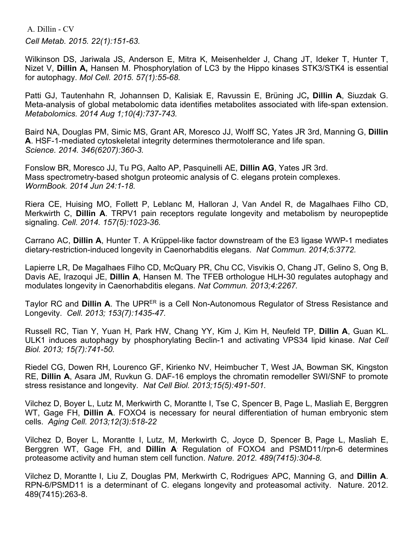A. Dillin - CV *Cell Metab. 2015. 22(1):151-63.*

Wilkinson DS, Jariwala JS, Anderson E, Mitra K, Meisenhelder J, Chang JT, Ideker T, Hunter T, Nizet V, **Dillin A,** Hansen M. Phosphorylation of LC3 by the Hippo kinases STK3/STK4 is essential for autophagy. *Mol Cell. 2015. 57(1):55-68.*

Patti GJ, Tautenhahn R, Johannsen D, Kalisiak E, Ravussin E, Brüning JC**, Dillin A**, Siuzdak G. Meta-analysis of global metabolomic data identifies metabolites associated with life-span extension. *Metabolomics. 2014 Aug 1;10(4):737-743.*

Baird NA, Douglas PM, Simic MS, Grant AR, Moresco JJ, Wolff SC, Yates JR 3rd, Manning G, **Dillin A**. HSF-1-mediated cytoskeletal integrity determines thermotolerance and life span. *Science. 2014. 346(6207):360-3.*

Fonslow BR, Moresco JJ, Tu PG, Aalto AP, Pasquinelli AE, **Dillin AG**, Yates JR 3rd. Mass spectrometry-based shotgun proteomic analysis of C. elegans protein complexes. *WormBook. 2014 Jun 24:1-18.*

Riera CE, Huising MO, Follett P, Leblanc M, Halloran J, Van Andel R, de Magalhaes Filho CD, Merkwirth C, **Dillin A**. TRPV1 pain receptors regulate longevity and metabolism by neuropeptide signaling. *Cell. 2014. 157(5):1023-36.*

Carrano AC, **Dillin A**, Hunter T. A Krüppel-like factor downstream of the E3 ligase WWP-1 mediates dietary-restriction-induced longevity in Caenorhabditis elegans. *Nat Commun. 2014;5:3772.*

Lapierre LR, De Magalhaes Filho CD, McQuary PR, Chu CC, Visvikis O, Chang JT, Gelino S, Ong B, Davis AE, Irazoqui JE, **Dillin A**, Hansen M. The TFEB orthologue HLH-30 regulates autophagy and modulates longevity in Caenorhabditis elegans. *Nat Commun. 2013;4:2267.*

Taylor RC and **Dillin A**. The UPR<sup>ER</sup> is a Cell Non-Autonomous Regulator of Stress Resistance and Longevity. *Cell. 2013; 153(7):1435-47.*

Russell RC, Tian Y, Yuan H, Park HW, Chang YY, Kim J, Kim H, Neufeld TP, **Dillin A**, Guan KL. ULK1 induces autophagy by phosphorylating Beclin-1 and activating VPS34 lipid kinase. *Nat Cell Biol. 2013; 15(7):741-50.*

Riedel CG, Dowen RH, Lourenco GF, Kirienko NV, Heimbucher T, West JA, Bowman SK, Kingston RE, **Dillin A**, Asara JM, Ruvkun G. DAF-16 employs the chromatin remodeller SWI/SNF to promote stress resistance and longevity. *Nat Cell Biol. 2013;15(5):491-501.*

Vilchez D, Boyer L, Lutz M, Merkwirth C, Morantte I, Tse C, Spencer B, Page L, Masliah E, Berggren WT, Gage FH, **Dillin A**. FOXO4 is necessary for neural differentiation of human embryonic stem cells. *Aging Cell. 2013;12(3):518-22*

Vilchez D, Boyer L, Morantte I, Lutz, M, Merkwirth C, Joyce D, Spencer B, Page L, Masliah E, Berggren WT, Gage FH, and **Dillin A**. Regulation of FOXO4 and PSMD11/rpn-6 determines proteasome activity and human stem cell function. *Nature. 2012. 489(7415):304-8.*

Vilchez D, Morantte I, Liu Z, Douglas PM, Merkwirth C, Rodrigues, APC, Manning G, and **Dillin A**. RPN-6/PSMD11 is a determinant of C. elegans longevity and proteasomal activity. Nature. 2012. 489(7415):263-8.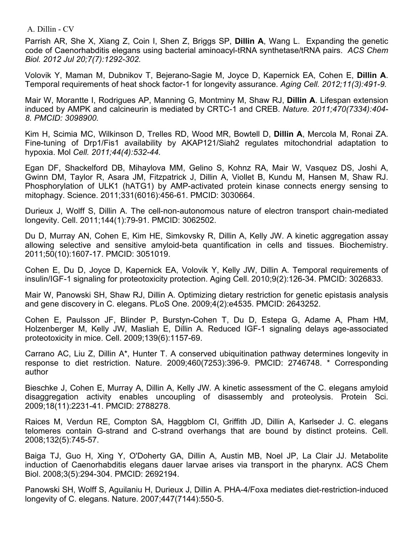Parrish AR, She X, Xiang Z, Coin I, Shen Z, Briggs SP, **Dillin A**, Wang L. Expanding the genetic code of Caenorhabditis elegans using bacterial aminoacyl-tRNA synthetase/tRNA pairs. *ACS Chem Biol. 2012 Jul 20;7(7):1292-302.*

Volovik Y, Maman M, Dubnikov T, Bejerano-Sagie M, Joyce D, Kapernick EA, Cohen E, **Dillin A**. Temporal requirements of heat shock factor-1 for longevity assurance. *Aging Cell. 2012;11(3):491-9.*

Mair W, Morantte I, Rodrigues AP, Manning G, Montminy M, Shaw RJ, **Dillin A**. Lifespan extension induced by AMPK and calcineurin is mediated by CRTC-1 and CREB. *Nature. 2011;470(7334):404- 8. PMCID: 3098900.*

Kim H, Scimia MC, Wilkinson D, Trelles RD, Wood MR, Bowtell D, **Dillin A**, Mercola M, Ronai ZA. Fine-tuning of Drp1/Fis1 availability by AKAP121/Siah2 regulates mitochondrial adaptation to hypoxia. Mol *Cell. 2011;44(4):532-44.*

Egan DF, Shackelford DB, Mihaylova MM, Gelino S, Kohnz RA, Mair W, Vasquez DS, Joshi A, Gwinn DM, Taylor R, Asara JM, Fitzpatrick J, Dillin A, Viollet B, Kundu M, Hansen M, Shaw RJ. Phosphorylation of ULK1 (hATG1) by AMP-activated protein kinase connects energy sensing to mitophagy. Science. 2011;331(6016):456-61. PMCID: 3030664.

Durieux J, Wolff S, Dillin A. The cell-non-autonomous nature of electron transport chain-mediated longevity. Cell. 2011;144(1):79-91. PMCID: 3062502.

Du D, Murray AN, Cohen E, Kim HE, Simkovsky R, Dillin A, Kelly JW. A kinetic aggregation assay allowing selective and sensitive amyloid-beta quantification in cells and tissues. Biochemistry. 2011;50(10):1607-17. PMCID: 3051019.

Cohen E, Du D, Joyce D, Kapernick EA, Volovik Y, Kelly JW, Dillin A. Temporal requirements of insulin/IGF-1 signaling for proteotoxicity protection. Aging Cell. 2010;9(2):126-34. PMCID: 3026833.

Mair W, Panowski SH, Shaw RJ, Dillin A. Optimizing dietary restriction for genetic epistasis analysis and gene discovery in C. elegans. PLoS One. 2009;4(2):e4535. PMCID: 2643252.

Cohen E, Paulsson JF, Blinder P, Burstyn-Cohen T, Du D, Estepa G, Adame A, Pham HM, Holzenberger M, Kelly JW, Masliah E, Dillin A. Reduced IGF-1 signaling delays age-associated proteotoxicity in mice. Cell. 2009;139(6):1157-69.

Carrano AC, Liu Z, Dillin A\*, Hunter T. A conserved ubiquitination pathway determines longevity in response to diet restriction. Nature. 2009;460(7253):396-9. PMCID: 2746748. \* Corresponding author

Bieschke J, Cohen E, Murray A, Dillin A, Kelly JW. A kinetic assessment of the C. elegans amyloid disaggregation activity enables uncoupling of disassembly and proteolysis. Protein Sci. 2009;18(11):2231-41. PMCID: 2788278.

Raices M, Verdun RE, Compton SA, Haggblom CI, Griffith JD, Dillin A, Karlseder J. C. elegans telomeres contain G-strand and C-strand overhangs that are bound by distinct proteins. Cell. 2008;132(5):745-57.

Baiga TJ, Guo H, Xing Y, O'Doherty GA, Dillin A, Austin MB, Noel JP, La Clair JJ. Metabolite induction of Caenorhabditis elegans dauer larvae arises via transport in the pharynx. ACS Chem Biol. 2008;3(5):294-304. PMCID: 2692194.

Panowski SH, Wolff S, Aguilaniu H, Durieux J, Dillin A. PHA-4/Foxa mediates diet-restriction-induced longevity of C. elegans. Nature. 2007;447(7144):550-5.